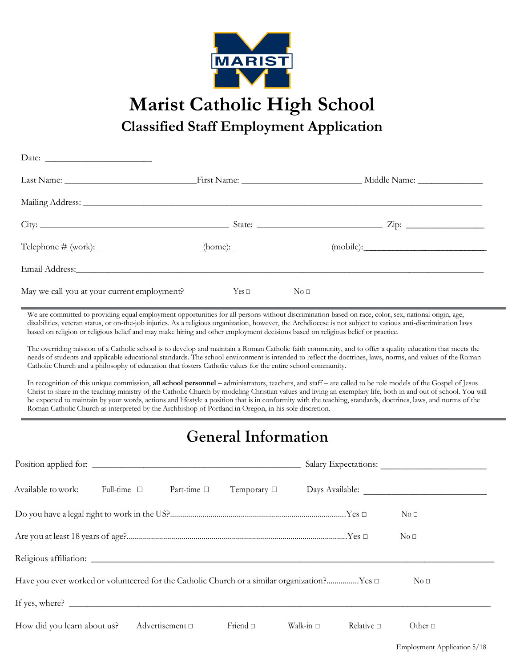

# **Marist Catholic High School Classified Staff Employment Application**

| Date:                                       |            |                                                                                                                |  |
|---------------------------------------------|------------|----------------------------------------------------------------------------------------------------------------|--|
|                                             |            |                                                                                                                |  |
|                                             |            |                                                                                                                |  |
|                                             |            |                                                                                                                |  |
|                                             |            | Telephone # (work): ______________________(home): __________________(mobile): ________________________________ |  |
|                                             |            |                                                                                                                |  |
| May we call you at your current employment? | $Yes \Box$ | No <sub>0</sub>                                                                                                |  |

We are committed to providing equal employment opportunities for all persons without discrimination based on race, color, sex, national origin, age, disabilities, veteran status, or on-the-job injuries. As a religious organization, however, the Archdiocese is not subject to various anti-discrimination laws based on religion or religious belief and may make hiring and other employment decisions based on religious belief or practice.

The overriding mission of a Catholic school is to develop and maintain a Roman Catholic faith community, and to offer a quality education that meets the needs of students and applicable educational standards. The school environment is intended to reflect the doctrines, laws, norms, and values of the Roman Catholic Church and a philosophy of education that fosters Catholic values for the entire school community.

In recognition of this unique commission, **all school personnel –** administrators, teachers, and staff – are called to be role models of the Gospel of Jesus Christ to share in the teaching ministry of the Catholic Church by modeling Christian values and living an exemplary life, both in and out of school. You will be expected to maintain by your words, actions and lifestyle a position that is in conformity with the teaching, standards, doctrines, laws, and norms of the Roman Catholic Church as interpreted by the Archbishop of Portland in Oregon, in his sole discretion.

# **General Information**

|                                                                                                                |                  |                      |                  |                   | Salary Expectations: |              |  |
|----------------------------------------------------------------------------------------------------------------|------------------|----------------------|------------------|-------------------|----------------------|--------------|--|
| Available to work:                                                                                             | Full-time $\Box$ | Part-time $\square$  | Temporary $\Box$ |                   |                      |              |  |
| No <sub>0</sub>                                                                                                |                  |                      |                  |                   |                      |              |  |
| No <sub>0</sub>                                                                                                |                  |                      |                  |                   |                      |              |  |
|                                                                                                                |                  |                      |                  |                   |                      |              |  |
| Have you ever worked or volunteered for the Catholic Church or a similar organization?Yes □<br>No <sub>1</sub> |                  |                      |                  |                   |                      |              |  |
| If yes, where? $\qquad \qquad$                                                                                 |                  |                      |                  |                   |                      |              |  |
| How did you learn about us?                                                                                    |                  | Advertisement $\Box$ | Friend $\Box$    | Walk-in $\square$ | Relative $\square$   | Other $\Box$ |  |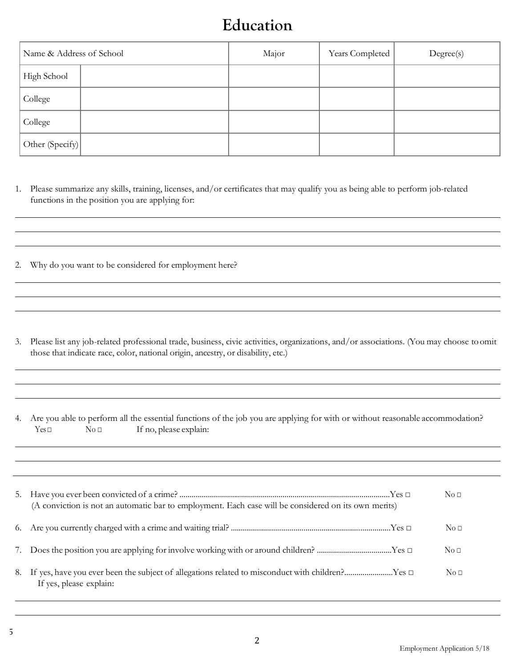## **Education**

| Name & Address of School | Major | Years Completed | Degree(s) |
|--------------------------|-------|-----------------|-----------|
| <sup>1</sup> High School |       |                 |           |
| College                  |       |                 |           |
| College                  |       |                 |           |
| Other (Specify)          |       |                 |           |

- 1. Please summarize any skills, training, licenses, and/or certificates that may qualify you as being able to perform job-related functions in the position you are applying for:
- 2. Why do you want to be considered for employment here?
- 3. Please list any job-related professional trade, business, civic activities, organizations, and/or associations. (You may choose toomit those that indicate race, color, national origin, ancestry, or disability, etc.)
- 4. Are you able to perform all the essential functions of the job you are applying for with or without reasonable accommodation? Yes□ No □ If no, please explain:

| (A conviction is not an automatic bar to employment. Each case will be considered on its own ments)                           | No <sub>0</sub> |
|-------------------------------------------------------------------------------------------------------------------------------|-----------------|
|                                                                                                                               | No <sub>0</sub> |
|                                                                                                                               | No <sub>0</sub> |
| 8. If yes, have you ever been the subject of allegations related to misconduct with children?Yes □<br>If yes, please explain: | No <sub>0</sub> |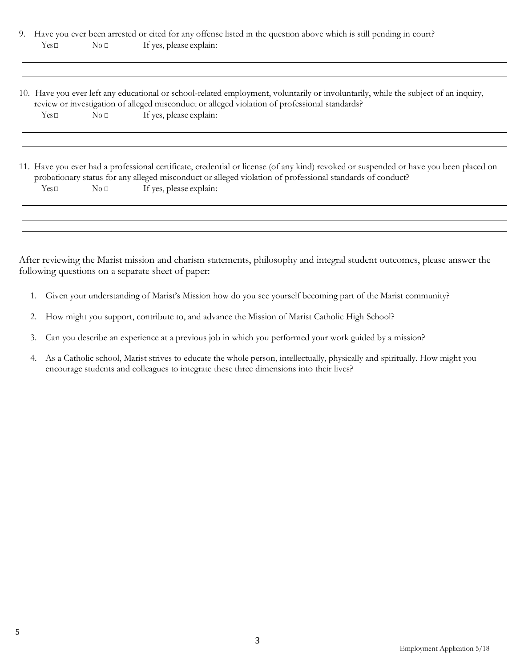| 9. Have you ever been arrested or cited for any offense listed in the question above which is still pending in court?<br>If yes, please explain:<br>$\mathrm{No}\,\square$<br>$Yes\square$                                                                                                                            |
|-----------------------------------------------------------------------------------------------------------------------------------------------------------------------------------------------------------------------------------------------------------------------------------------------------------------------|
| 10. Have you ever left any educational or school-related employment, voluntarily or involuntarily, while the subject of an inquiry,<br>review or investigation of alleged misconduct or alleged violation of professional standards?<br>If yes, please explain:<br>$Yes \Box$<br>$\mathrm{No}\,\square$               |
| 11. Have you ever had a professional certificate, credential or license (of any kind) revoked or suspended or have you been placed on<br>probationary status for any alleged misconduct or alleged violation of professional standards of conduct?<br>If yes, please explain:<br>$Yes \Box$<br>$\mathrm{No}\,\square$ |

After reviewing the Marist mission and charism statements, philosophy and integral student outcomes, please answer the following questions on a separate sheet of paper:

- 1. Given your understanding of Marist's Mission how do you see yourself becoming part of the Marist community?
- 2. How might you support, contribute to, and advance the Mission of Marist Catholic High School?
- 3. Can you describe an experience at a previous job in which you performed your work guided by a mission?
- 4. As a Catholic school, Marist strives to educate the whole person, intellectually, physically and spiritually. How might you encourage students and colleagues to integrate these three dimensions into their lives?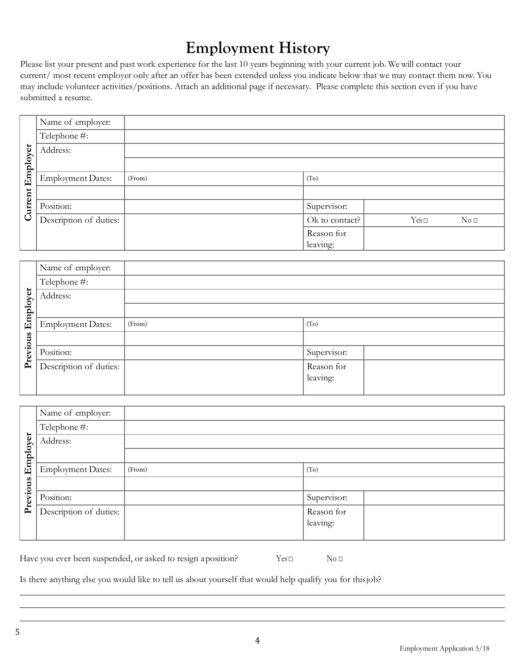## **Employment History**

Please list your present and past work experience for the last 10 years beginning with your current job. We will contact your current/ most recent employer only after an offer has been extended unless you indicate below that we may contact them now. You may include volunteer activities/positions. Attach an additional page if necessary. Please complete this section even if you have submitted a resume.

|          | Name of employer:        |        |                |            |                 |
|----------|--------------------------|--------|----------------|------------|-----------------|
|          | Telephone#:              |        |                |            |                 |
|          | Address:                 |        |                |            |                 |
|          |                          |        |                |            |                 |
| Employer | <b>Employment Dates:</b> | (From) | (To)           |            |                 |
|          |                          |        |                |            |                 |
| Current  | Position:                |        | Supervisor:    |            |                 |
|          | Description of duties:   |        | Ok to contact? | $Yes \Box$ | No <sub>1</sub> |
|          |                          |        | Reason for     |            |                 |
|          |                          |        | leaving:       |            |                 |

|          | Name of employer:        |        |                   |
|----------|--------------------------|--------|-------------------|
|          | Telephone#:              |        |                   |
| Employer | Address:                 |        |                   |
|          |                          |        |                   |
|          | <b>Employment Dates:</b> | (From) | (T <sub>0</sub> ) |
|          |                          |        |                   |
| Previous | Position:                |        | Supervisor:       |
|          | Description of duties:   |        | Reason for        |
|          |                          |        | leaving:          |

|          | Name of employer:        |        |             |
|----------|--------------------------|--------|-------------|
|          | Telephone#:              |        |             |
| Employer | Address:                 |        |             |
|          |                          |        |             |
|          | <b>Employment Dates:</b> | (From) | (To)        |
|          |                          |        |             |
| Previous | Position:                |        | Supervisor: |
|          | Description of duties:   |        | Reason for  |
|          |                          |        | leaving:    |
|          |                          |        |             |

Have you ever been suspended, or asked to resign aposition? Yes□ No □

Is there anything else you would like to tell us about yourself that would help qualify you for thisjob?